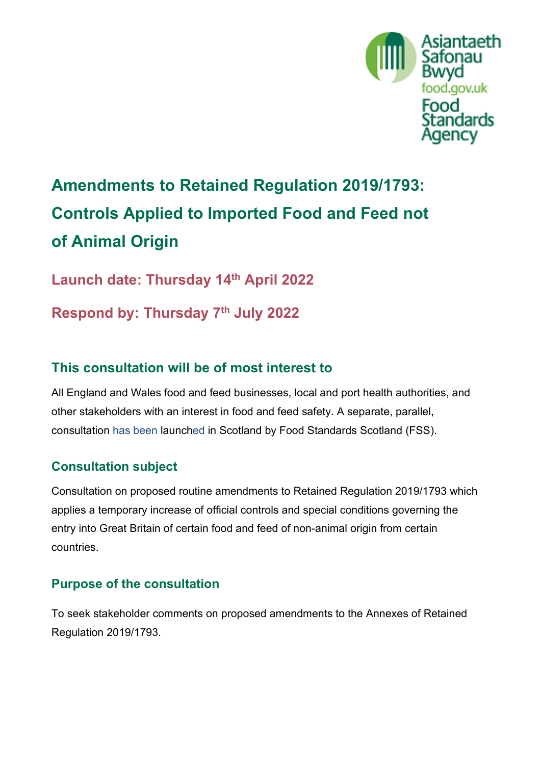

# **Amendments to Retained Regulation 2019/1793: Controls Applied to Imported Food and Feed not of Animal Origin**

**Launch date: Thursday 14th April 2022** 

**Respond by: Thursday 7th July 2022**

# **This consultation will be of most interest to**

All England and Wales food and feed businesses, local and port health authorities, and other stakeholders with an interest in food and feed safety. A separate, parallel, consultation has been launched in Scotland by Food Standards Scotland (FSS).

## **Consultation subject**

Consultation on proposed routine amendments to Retained Regulation 2019/1793 which applies a temporary increase of official controls and special conditions governing the entry into Great Britain of certain food and feed of non-animal origin from certain countries.

## **Purpose of the consultation**

To seek stakeholder comments on proposed amendments to the Annexes of Retained Regulation 2019/1793.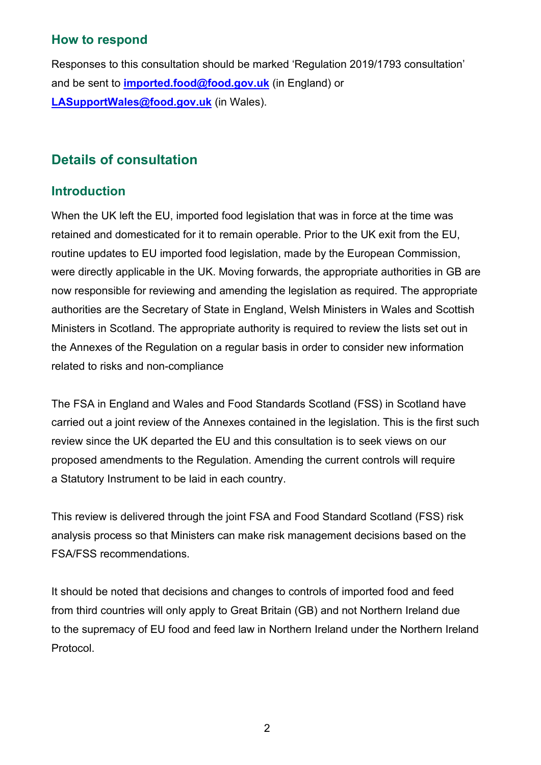### **How to respond**

Responses to this consultation should be marked 'Regulation 2019/1793 consultation' and be sent to **[imported.food@food.gov.uk](mailto:imported.food@food.gov.uk)** (in England) or **[LASupportWales@food.gov.uk](mailto:LASupportWales@food.gov.uk)** (in Wales).

# **Details of consultation**

### **Introduction**

When the UK left the EU, imported food legislation that was in force at the time was retained and domesticated for it to remain operable. Prior to the UK exit from the EU, routine updates to EU imported food legislation, made by the European Commission, were directly applicable in the UK. Moving forwards, the appropriate authorities in GB are now responsible for reviewing and amending the legislation as required. The appropriate authorities are the Secretary of State in England, Welsh Ministers in Wales and Scottish Ministers in Scotland. The appropriate authority is required to review the lists set out in the Annexes of the Regulation on a regular basis in order to consider new information related to risks and non-compliance

The FSA in England and Wales and Food Standards Scotland (FSS) in Scotland have carried out a joint review of the Annexes contained in the legislation. This is the first such review since the UK departed the EU and this consultation is to seek views on our proposed amendments to the Regulation. Amending the current controls will require a Statutory Instrument to be laid in each country.

This review is delivered through the joint FSA and Food Standard Scotland (FSS) risk analysis process so that Ministers can make risk management decisions based on the FSA/FSS recommendations.

It should be noted that decisions and changes to controls of imported food and feed from third countries will only apply to Great Britain (GB) and not Northern Ireland due to the supremacy of EU food and feed law in Northern Ireland under the Northern Ireland Protocol.

2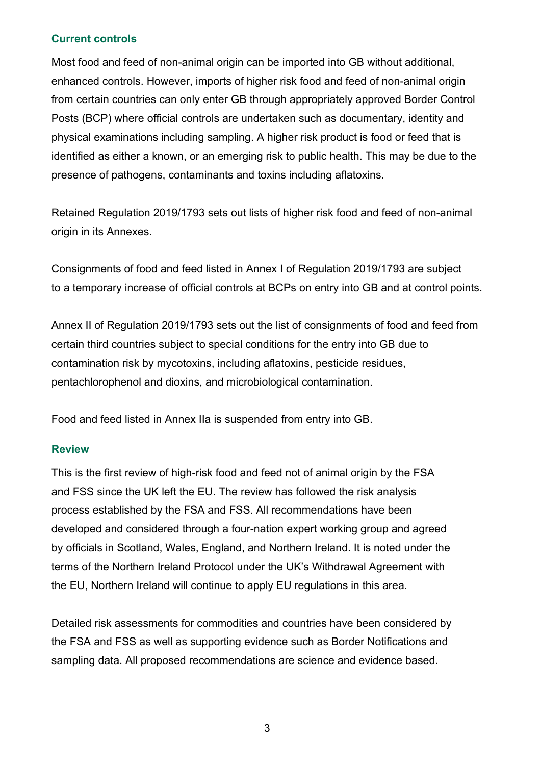#### **Current controls**

Most food and feed of non-animal origin can be imported into GB without additional, enhanced controls. However, imports of higher risk food and feed of non-animal origin from certain countries can only enter GB through appropriately approved Border Control Posts (BCP) where official controls are undertaken such as documentary, identity and physical examinations including sampling. A higher risk product is food or feed that is identified as either a known, or an emerging risk to public health. This may be due to the presence of pathogens, contaminants and toxins including aflatoxins.

Retained Regulation 2019/1793 sets out lists of higher risk food and feed of non-animal origin in its Annexes.

Consignments of food and feed listed in Annex I of Regulation 2019/1793 are subject to a temporary increase of official controls at BCPs on entry into GB and at control points.

Annex II of Regulation 2019/1793 sets out the list of consignments of food and feed from certain third countries subject to special conditions for the entry into GB due to contamination risk by mycotoxins, including aflatoxins, pesticide residues, pentachlorophenol and dioxins, and microbiological contamination.

Food and feed listed in Annex IIa is suspended from entry into GB.

#### **Review**

This is the first review of high-risk food and feed not of animal origin by the FSA and FSS since the UK left the EU. The review has followed the risk analysis process established by the FSA and FSS. All recommendations have been developed and considered through a four-nation expert working group and agreed by officials in Scotland, Wales, England, and Northern Ireland. It is noted under the terms of the Northern Ireland Protocol under the UK's Withdrawal Agreement with the EU, Northern Ireland will continue to apply EU regulations in this area.

Detailed risk assessments for commodities and countries have been considered by the FSA and FSS as well as supporting evidence such as Border Notifications and sampling data. All proposed recommendations are science and evidence based.

3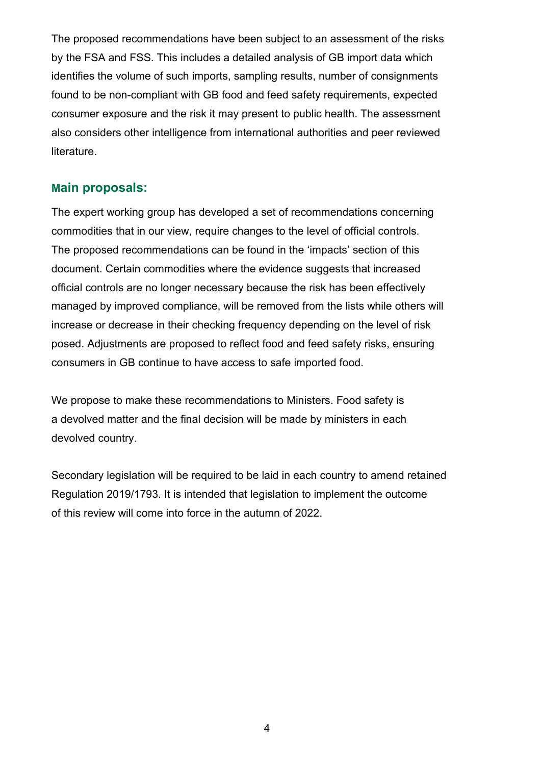The proposed recommendations have been subject to an assessment of the risks by the FSA and FSS. This includes a detailed analysis of GB import data which identifies the volume of such imports, sampling results, number of consignments found to be non-compliant with GB food and feed safety requirements, expected consumer exposure and the risk it may present to public health. The assessment also considers other intelligence from international authorities and peer reviewed literature.

#### **Main proposals:**

The expert working group has developed a set of recommendations concerning commodities that in our view, require changes to the level of official controls. The proposed recommendations can be found in the 'impacts' section of this document. Certain commodities where the evidence suggests that increased official controls are no longer necessary because the risk has been effectively managed by improved compliance, will be removed from the lists while others will increase or decrease in their checking frequency depending on the level of risk posed. Adjustments are proposed to reflect food and feed safety risks, ensuring consumers in GB continue to have access to safe imported food.

We propose to make these recommendations to Ministers. Food safety is a devolved matter and the final decision will be made by ministers in each devolved country.

Secondary legislation will be required to be laid in each country to amend retained Regulation 2019/1793. It is intended that legislation to implement the outcome of this review will come into force in the autumn of 2022.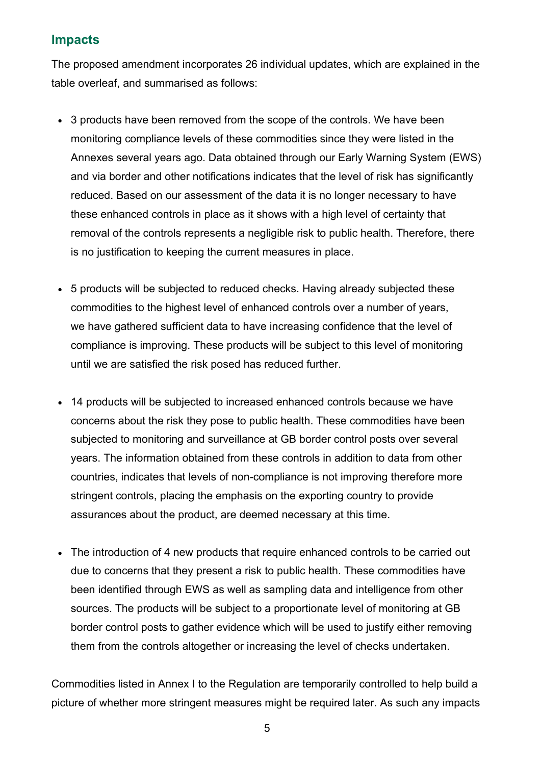### **Impacts**

The proposed amendment incorporates 26 individual updates, which are explained in the table overleaf, and summarised as follows:

- 3 products have been removed from the scope of the controls. We have been monitoring compliance levels of these commodities since they were listed in the Annexes several years ago. Data obtained through our Early Warning System (EWS) and via border and other notifications indicates that the level of risk has significantly reduced. Based on our assessment of the data it is no longer necessary to have these enhanced controls in place as it shows with a high level of certainty that removal of the controls represents a negligible risk to public health. Therefore, there is no justification to keeping the current measures in place.
- 5 products will be subjected to reduced checks. Having already subjected these commodities to the highest level of enhanced controls over a number of years, we have gathered sufficient data to have increasing confidence that the level of compliance is improving. These products will be subject to this level of monitoring until we are satisfied the risk posed has reduced further.
- 14 products will be subjected to increased enhanced controls because we have concerns about the risk they pose to public health. These commodities have been subjected to monitoring and surveillance at GB border control posts over several years. The information obtained from these controls in addition to data from other countries, indicates that levels of non-compliance is not improving therefore more stringent controls, placing the emphasis on the exporting country to provide assurances about the product, are deemed necessary at this time.
- The introduction of 4 new products that require enhanced controls to be carried out due to concerns that they present a risk to public health. These commodities have been identified through EWS as well as sampling data and intelligence from other sources. The products will be subject to a proportionate level of monitoring at GB border control posts to gather evidence which will be used to justify either removing them from the controls altogether or increasing the level of checks undertaken.

Commodities listed in Annex I to the Regulation are temporarily controlled to help build a picture of whether more stringent measures might be required later. As such any impacts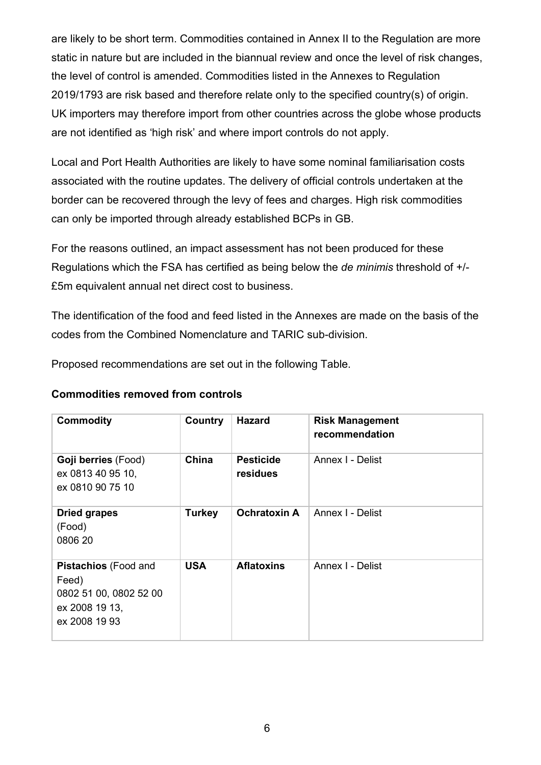are likely to be short term. Commodities contained in Annex II to the Regulation are more static in nature but are included in the biannual review and once the level of risk changes, the level of control is amended. Commodities listed in the Annexes to Regulation 2019/1793 are risk based and therefore relate only to the specified country(s) of origin. UK importers may therefore import from other countries across the globe whose products are not identified as 'high risk' and where import controls do not apply.

Local and Port Health Authorities are likely to have some nominal familiarisation costs associated with the routine updates. The delivery of official controls undertaken at the border can be recovered through the levy of fees and charges. High risk commodities can only be imported through already established BCPs in GB.

For the reasons outlined, an impact assessment has not been produced for these Regulations which the FSA has certified as being below the *de minimis* threshold of +/- £5m equivalent annual net direct cost to business.

The identification of the food and feed listed in the Annexes are made on the basis of the codes from the Combined Nomenclature and TARIC sub-division.

Proposed recommendations are set out in the following Table.

#### **Commodities removed from controls**

| <b>Commodity</b>                                                                           | Country       | <b>Hazard</b>                       | <b>Risk Management</b><br>recommendation |
|--------------------------------------------------------------------------------------------|---------------|-------------------------------------|------------------------------------------|
| Goji berries (Food)<br>ex 0813 40 95 10,<br>ex 0810 90 75 10                               | China         | <b>Pesticide</b><br><b>residues</b> | Annex I - Delist                         |
| <b>Dried grapes</b><br>(Food)<br>0806 20                                                   | <b>Turkey</b> | <b>Ochratoxin A</b>                 | Annex I - Delist                         |
| Pistachios (Food and<br>Feed)<br>0802 51 00, 0802 52 00<br>ex 2008 19 13,<br>ex 2008 19 93 | <b>USA</b>    | <b>Aflatoxins</b>                   | Annex I - Delist                         |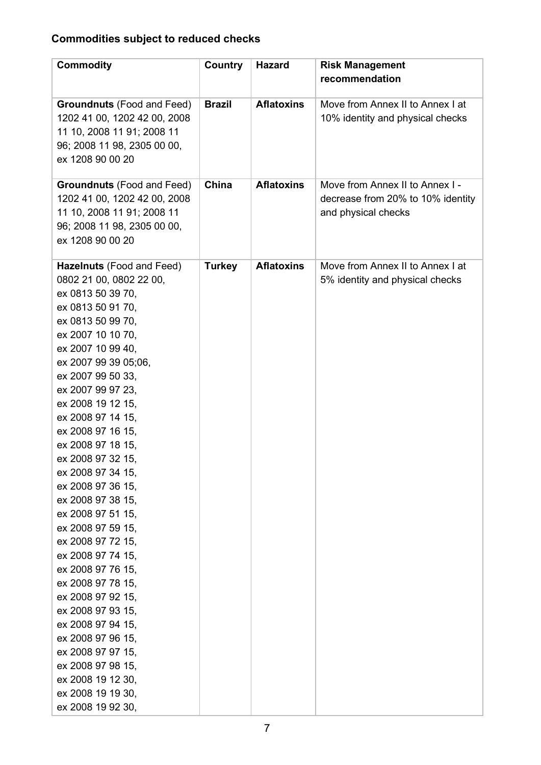# **Commodities subject to reduced checks**

| <b>Commodity</b>                                                                                                                                                                                                                                                                                                                                                                                                                                                                                                                                                                                                                                                                                                                   | <b>Country</b> | <b>Hazard</b>     | <b>Risk Management</b><br>recommendation                                                    |
|------------------------------------------------------------------------------------------------------------------------------------------------------------------------------------------------------------------------------------------------------------------------------------------------------------------------------------------------------------------------------------------------------------------------------------------------------------------------------------------------------------------------------------------------------------------------------------------------------------------------------------------------------------------------------------------------------------------------------------|----------------|-------------------|---------------------------------------------------------------------------------------------|
| <b>Groundnuts</b> (Food and Feed)<br>1202 41 00, 1202 42 00, 2008<br>11 10, 2008 11 91; 2008 11<br>96; 2008 11 98, 2305 00 00,<br>ex 1208 90 00 20                                                                                                                                                                                                                                                                                                                                                                                                                                                                                                                                                                                 | <b>Brazil</b>  | <b>Aflatoxins</b> | Move from Annex II to Annex I at<br>10% identity and physical checks                        |
| <b>Groundnuts (Food and Feed)</b><br>1202 41 00, 1202 42 00, 2008<br>11 10, 2008 11 91; 2008 11<br>96; 2008 11 98, 2305 00 00,<br>ex 1208 90 00 20                                                                                                                                                                                                                                                                                                                                                                                                                                                                                                                                                                                 | China          | <b>Aflatoxins</b> | Move from Annex II to Annex I -<br>decrease from 20% to 10% identity<br>and physical checks |
| Hazelnuts (Food and Feed)<br>0802 21 00, 0802 22 00,<br>ex 0813 50 39 70,<br>ex 0813 50 91 70,<br>ex 0813 50 99 70,<br>ex 2007 10 10 70,<br>ex 2007 10 99 40,<br>ex 2007 99 39 05;06,<br>ex 2007 99 50 33,<br>ex 2007 99 97 23,<br>ex 2008 19 12 15,<br>ex 2008 97 14 15,<br>ex 2008 97 16 15,<br>ex 2008 97 18 15,<br>ex 2008 97 32 15.<br>ex 2008 97 34 15,<br>ex 2008 97 36 15,<br>ex 2008 97 38 15,<br>ex 2008 97 51 15,<br>ex 2008 97 59 15,<br>ex 2008 97 72 15,<br>ex 2008 97 74 15,<br>ex 2008 97 76 15,<br>ex 2008 97 78 15,<br>ex 2008 97 92 15,<br>ex 2008 97 93 15,<br>ex 2008 97 94 15,<br>ex 2008 97 96 15,<br>ex 2008 97 97 15,<br>ex 2008 97 98 15,<br>ex 2008 19 12 30,<br>ex 2008 19 19 30,<br>ex 2008 19 92 30, | <b>Turkey</b>  | <b>Aflatoxins</b> | Move from Annex II to Annex I at<br>5% identity and physical checks                         |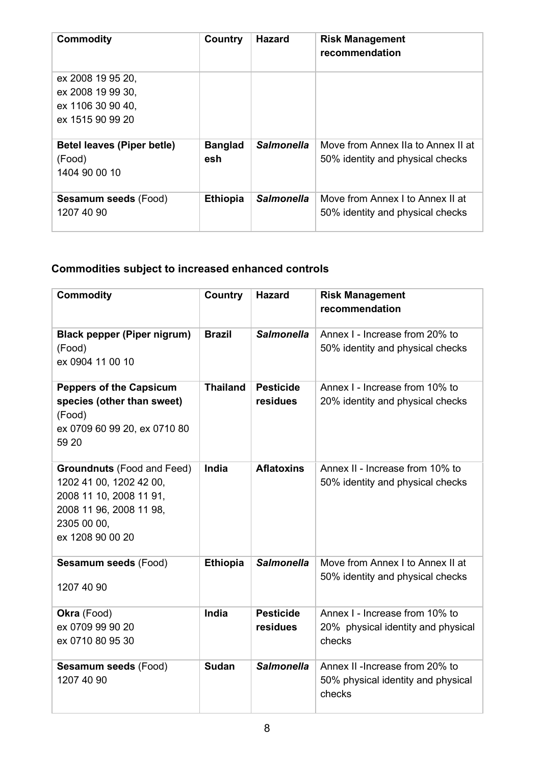| <b>Commodity</b>                  | Country         | <b>Hazard</b>     | <b>Risk Management</b><br>recommendation |
|-----------------------------------|-----------------|-------------------|------------------------------------------|
| ex 2008 19 95 20,                 |                 |                   |                                          |
| ex 2008 19 99 30,                 |                 |                   |                                          |
| ex 1106 30 90 40,                 |                 |                   |                                          |
| ex 1515 90 99 20                  |                 |                   |                                          |
| <b>Betel leaves (Piper betle)</b> | <b>Banglad</b>  | <b>Salmonella</b> | Move from Annex IIa to Annex II at       |
| (Food)                            | esh             |                   | 50% identity and physical checks         |
| 1404 90 00 10                     |                 |                   |                                          |
| <b>Sesamum seeds (Food)</b>       | <b>Ethiopia</b> | <b>Salmonella</b> | Move from Annex I to Annex II at         |
| 1207 40 90                        |                 |                   | 50% identity and physical checks         |

# **Commodities subject to increased enhanced controls**

| <b>Commodity</b>                                                                                                                                      | <b>Country</b>  | <b>Hazard</b>                | <b>Risk Management</b><br>recommendation                                        |
|-------------------------------------------------------------------------------------------------------------------------------------------------------|-----------------|------------------------------|---------------------------------------------------------------------------------|
| <b>Black pepper (Piper nigrum)</b><br>(Food)<br>ex 0904 11 00 10                                                                                      | <b>Brazil</b>   | <b>Salmonella</b>            | Annex I - Increase from 20% to<br>50% identity and physical checks              |
| <b>Peppers of the Capsicum</b><br>species (other than sweet)<br>(Food)<br>ex 0709 60 99 20, ex 0710 80<br>59 20                                       | <b>Thailand</b> | <b>Pesticide</b><br>residues | Annex I - Increase from 10% to<br>20% identity and physical checks              |
| <b>Groundnuts (Food and Feed)</b><br>1202 41 00, 1202 42 00,<br>2008 11 10, 2008 11 91,<br>2008 11 96, 2008 11 98,<br>2305 00 00,<br>ex 1208 90 00 20 | India           | <b>Aflatoxins</b>            | Annex II - Increase from 10% to<br>50% identity and physical checks             |
| Sesamum seeds (Food)<br>1207 40 90                                                                                                                    | <b>Ethiopia</b> | <b>Salmonella</b>            | Move from Annex I to Annex II at<br>50% identity and physical checks            |
| Okra (Food)<br>ex 0709 99 90 20<br>ex 0710 80 95 30                                                                                                   | India           | <b>Pesticide</b><br>residues | Annex I - Increase from 10% to<br>20% physical identity and physical<br>checks  |
| Sesamum seeds (Food)<br>1207 40 90                                                                                                                    | <b>Sudan</b>    | <b>Salmonella</b>            | Annex II - Increase from 20% to<br>50% physical identity and physical<br>checks |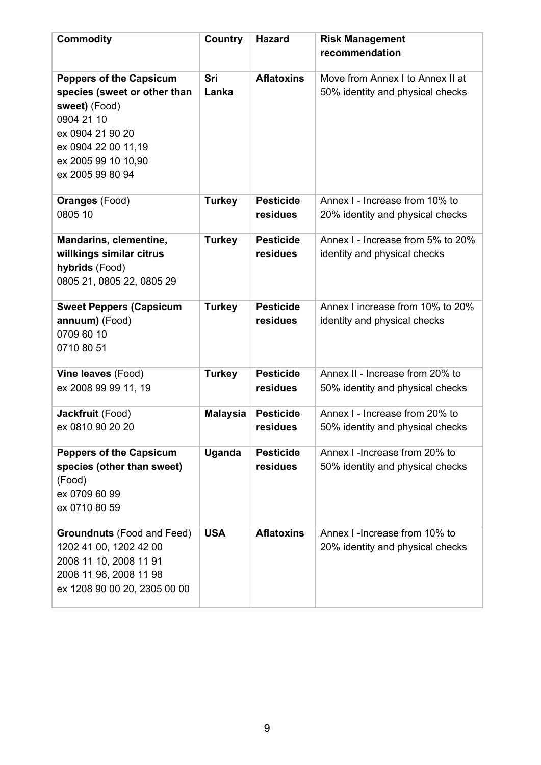| <b>Commodity</b>                                                                                                                                                                    | <b>Country</b>  | <b>Hazard</b>                | <b>Risk Management</b><br>recommendation                             |
|-------------------------------------------------------------------------------------------------------------------------------------------------------------------------------------|-----------------|------------------------------|----------------------------------------------------------------------|
| <b>Peppers of the Capsicum</b><br>species (sweet or other than<br>sweet) (Food)<br>0904 21 10<br>ex 0904 21 90 20<br>ex 0904 22 00 11,19<br>ex 2005 99 10 10,90<br>ex 2005 99 80 94 | Sri<br>Lanka    | <b>Aflatoxins</b>            | Move from Annex I to Annex II at<br>50% identity and physical checks |
| <b>Oranges (Food)</b><br>0805 10                                                                                                                                                    | <b>Turkey</b>   | <b>Pesticide</b><br>residues | Annex I - Increase from 10% to<br>20% identity and physical checks   |
| Mandarins, clementine,<br>willkings similar citrus<br>hybrids (Food)<br>0805 21, 0805 22, 0805 29                                                                                   | <b>Turkey</b>   | <b>Pesticide</b><br>residues | Annex I - Increase from 5% to 20%<br>identity and physical checks    |
| <b>Sweet Peppers (Capsicum</b><br>annuum) (Food)<br>0709 60 10<br>0710 80 51                                                                                                        | <b>Turkey</b>   | <b>Pesticide</b><br>residues | Annex I increase from 10% to 20%<br>identity and physical checks     |
| Vine leaves (Food)<br>ex 2008 99 99 11, 19                                                                                                                                          | <b>Turkey</b>   | <b>Pesticide</b><br>residues | Annex II - Increase from 20% to<br>50% identity and physical checks  |
| Jackfruit (Food)<br>ex 0810 90 20 20                                                                                                                                                | <b>Malaysia</b> | <b>Pesticide</b><br>residues | Annex I - Increase from 20% to<br>50% identity and physical checks   |
| <b>Peppers of the Capsicum</b><br>species (other than sweet)<br>(Food)<br>ex 0709 60 99<br>ex 0710 80 59                                                                            | <b>Uganda</b>   | <b>Pesticide</b><br>residues | Annex I -Increase from 20% to<br>50% identity and physical checks    |
| <b>Groundnuts</b> (Food and Feed)<br>1202 41 00, 1202 42 00<br>2008 11 10, 2008 11 91<br>2008 11 96, 2008 11 98<br>ex 1208 90 00 20, 2305 00 00                                     | <b>USA</b>      | <b>Aflatoxins</b>            | Annex I - Increase from 10% to<br>20% identity and physical checks   |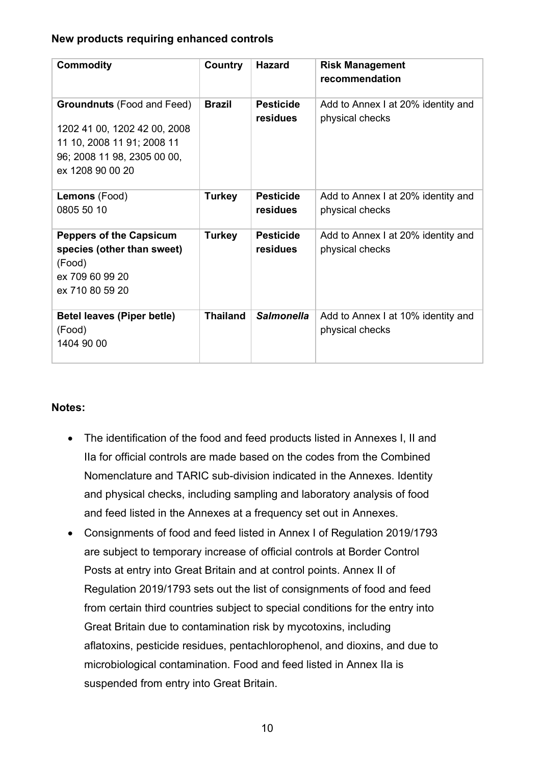#### **New products requiring enhanced controls**

| <b>Commodity</b>                                                                                                                                   | Country         | <b>Hazard</b>                | <b>Risk Management</b><br>recommendation              |
|----------------------------------------------------------------------------------------------------------------------------------------------------|-----------------|------------------------------|-------------------------------------------------------|
| <b>Groundnuts</b> (Food and Feed)<br>1202 41 00, 1202 42 00, 2008<br>11 10, 2008 11 91; 2008 11<br>96; 2008 11 98, 2305 00 00,<br>ex 1208 90 00 20 | <b>Brazil</b>   | <b>Pesticide</b><br>residues | Add to Annex I at 20% identity and<br>physical checks |
| Lemons (Food)<br>0805 50 10                                                                                                                        | <b>Turkey</b>   | <b>Pesticide</b><br>residues | Add to Annex I at 20% identity and<br>physical checks |
| <b>Peppers of the Capsicum</b><br>species (other than sweet)<br>(Food)<br>ex 709 60 99 20<br>ex 710 80 59 20                                       | <b>Turkey</b>   | <b>Pesticide</b><br>residues | Add to Annex I at 20% identity and<br>physical checks |
| <b>Betel leaves (Piper betle)</b><br>(Food)<br>1404 90 00                                                                                          | <b>Thailand</b> | <b>Salmonella</b>            | Add to Annex I at 10% identity and<br>physical checks |

#### **Notes:**

- The identification of the food and feed products listed in Annexes I, II and IIa for official controls are made based on the codes from the Combined Nomenclature and TARIC sub-division indicated in the Annexes. Identity and physical checks, including sampling and laboratory analysis of food and feed listed in the Annexes at a frequency set out in Annexes.
- Consignments of food and feed listed in Annex I of Regulation 2019/1793 are subject to temporary increase of official controls at Border Control Posts at entry into Great Britain and at control points. Annex II of Regulation 2019/1793 sets out the list of consignments of food and feed from certain third countries subject to special conditions for the entry into Great Britain due to contamination risk by mycotoxins, including aflatoxins, pesticide residues, pentachlorophenol, and dioxins, and due to microbiological contamination. Food and feed listed in Annex IIa is suspended from entry into Great Britain.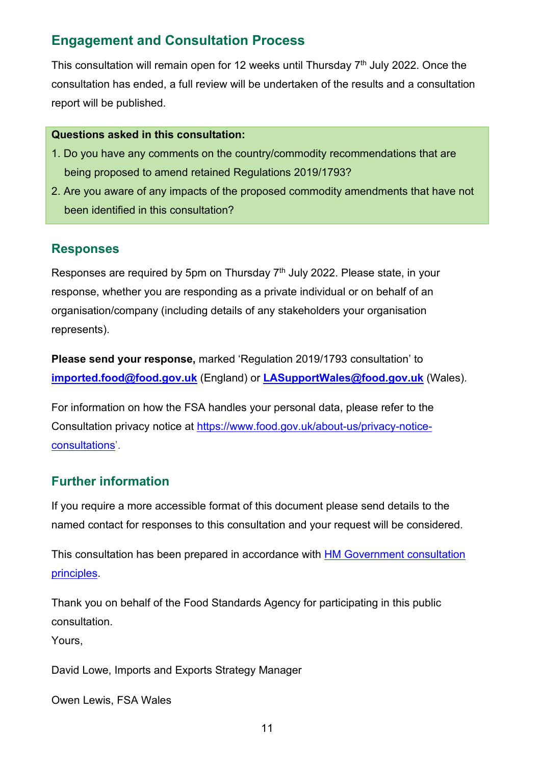## **Engagement and Consultation Process**

This consultation will remain open for 12 weeks until Thursday  $7<sup>th</sup>$  July 2022. Once the consultation has ended, a full review will be undertaken of the results and a consultation report will be published.

#### **Questions asked in this consultation:**

- 1. Do you have any comments on the country/commodity recommendations that are being proposed to amend retained Regulations 2019/1793?
- 2. Are you aware of any impacts of the proposed commodity amendments that have not been identified in this consultation?

### **Responses**

Responses are required by 5pm on Thursday  $7<sup>th</sup>$  July 2022. Please state, in your response, whether you are responding as a private individual or on behalf of an organisation/company (including details of any stakeholders your organisation represents).

**Please send your response,** marked 'Regulation 2019/1793 consultation' to **[imported.food@food.gov.uk](mailto:imported.food@food.gov.uk)** (England) or **[LASupportWales@food.gov.uk](mailto:LASupportWales@food.gov.uk)** (Wales).

For information on how the FSA handles your personal data, please refer to the Consultation privacy notice at [https://www.food.gov.uk/about-us/privacy-notice](https://www.food.gov.uk/about-us/privacy-notice-consultations)[consultations'](https://www.food.gov.uk/about-us/privacy-notice-consultations).

### **Further information**

If you require a more accessible format of this document please send details to the named contact for responses to this consultation and your request will be considered.

This consultation has been prepared in accordance with [HM Government consultation](http://www.gov.uk/government/publications/consultation-principles-guidance)  [principles.](http://www.gov.uk/government/publications/consultation-principles-guidance)

Thank you on behalf of the Food Standards Agency for participating in this public consultation.

Yours,

David Lowe, Imports and Exports Strategy Manager

Owen Lewis, FSA Wales